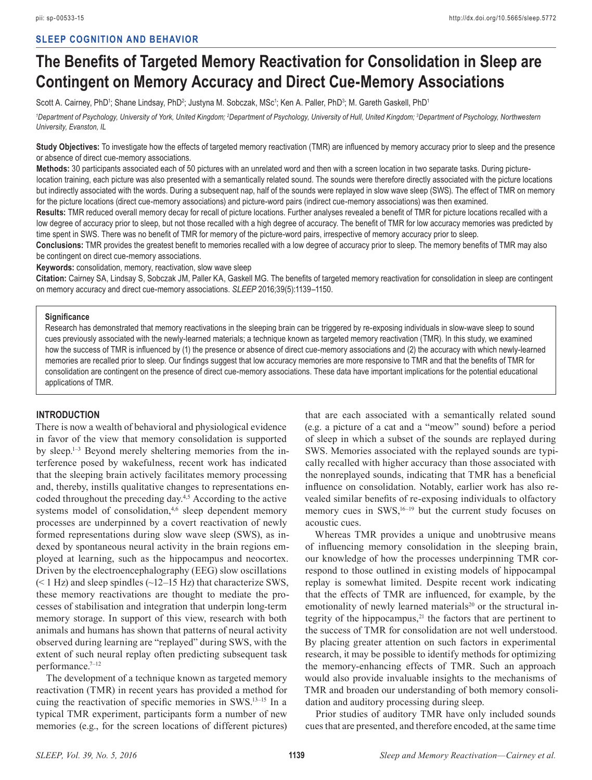## **SLEEP COGNITION AND BEHAVIOR**

# **The Benefits of Targeted Memory Reactivation for Consolidation in Sleep are Contingent on Memory Accuracy and Direct Cue-Memory Associations**

Scott A. Cairney, PhD<sup>1</sup>; Shane Lindsay, PhD<sup>2</sup>; Justyna M. Sobczak, MSc<sup>1</sup>; Ken A. Paller, PhD<sup>3</sup>; M. Gareth Gaskell, PhD<sup>1</sup>

*1 Department of Psychology, University of York, United Kingdom; 2 Department of Psychology, University of Hull, United Kingdom; 3 Department of Psychology, Northwestern University, Evanston, IL* 

**Study Objectives:** To investigate how the effects of targeted memory reactivation (TMR) are influenced by memory accuracy prior to sleep and the presence or absence of direct cue-memory associations.

**Methods:** 30 participants associated each of 50 pictures with an unrelated word and then with a screen location in two separate tasks. During picturelocation training, each picture was also presented with a semantically related sound. The sounds were therefore directly associated with the picture locations but indirectly associated with the words. During a subsequent nap, half of the sounds were replayed in slow wave sleep (SWS). The effect of TMR on memory for the picture locations (direct cue-memory associations) and picture-word pairs (indirect cue-memory associations) was then examined.

**Results:** TMR reduced overall memory decay for recall of picture locations. Further analyses revealed a benefit of TMR for picture locations recalled with a low degree of accuracy prior to sleep, but not those recalled with a high degree of accuracy. The benefit of TMR for low accuracy memories was predicted by time spent in SWS. There was no benefit of TMR for memory of the picture-word pairs, irrespective of memory accuracy prior to sleep.

**Conclusions:** TMR provides the greatest benefit to memories recalled with a low degree of accuracy prior to sleep. The memory benefits of TMR may also be contingent on direct cue-memory associations.

**Keywords:** consolidation, memory, reactivation, slow wave sleep

**Citation:** Cairney SA, Lindsay S, Sobczak JM, Paller KA, Gaskell MG. The benefits of targeted memory reactivation for consolidation in sleep are contingent on memory accuracy and direct cue-memory associations. *SLEEP* 2016;39(5):1139–1150.

#### **Significance**

Research has demonstrated that memory reactivations in the sleeping brain can be triggered by re-exposing individuals in slow-wave sleep to sound cues previously associated with the newly-learned materials; a technique known as targeted memory reactivation (TMR). In this study, we examined how the success of TMR is influenced by (1) the presence or absence of direct cue-memory associations and (2) the accuracy with which newly-learned memories are recalled prior to sleep. Our findings suggest that low accuracy memories are more responsive to TMR and that the benefits of TMR for consolidation are contingent on the presence of direct cue-memory associations. These data have important implications for the potential educational applications of TMR.

## **INTRODUCTION**

There is now a wealth of behavioral and physiological evidence in favor of the view that memory consolidation is supported by sleep.1–3 Beyond merely sheltering memories from the interference posed by wakefulness, recent work has indicated that the sleeping brain actively facilitates memory processing and, thereby, instills qualitative changes to representations encoded throughout the preceding day.4,5 According to the active systems model of consolidation,<sup>4,6</sup> sleep dependent memory processes are underpinned by a covert reactivation of newly formed representations during slow wave sleep (SWS), as indexed by spontaneous neural activity in the brain regions employed at learning, such as the hippocampus and neocortex. Driven by the electroencephalography (EEG) slow oscillations  $(< 1$  Hz) and sleep spindles  $(~12–15$  Hz) that characterize SWS, these memory reactivations are thought to mediate the processes of stabilisation and integration that underpin long-term memory storage. In support of this view, research with both animals and humans has shown that patterns of neural activity observed during learning are "replayed" during SWS, with the extent of such neural replay often predicting subsequent task performance. $7-12$ 

The development of a technique known as targeted memory reactivation (TMR) in recent years has provided a method for cuing the reactivation of specific memories in SWS.13–15 In a typical TMR experiment, participants form a number of new memories (e.g., for the screen locations of different pictures)

that are each associated with a semantically related sound (e.g. a picture of a cat and a "meow" sound) before a period of sleep in which a subset of the sounds are replayed during SWS. Memories associated with the replayed sounds are typically recalled with higher accuracy than those associated with the nonreplayed sounds, indicating that TMR has a beneficial influence on consolidation. Notably, earlier work has also revealed similar benefits of re-exposing individuals to olfactory memory cues in SWS,<sup>16–19</sup> but the current study focuses on acoustic cues.

Whereas TMR provides a unique and unobtrusive means of influencing memory consolidation in the sleeping brain, our knowledge of how the processes underpinning TMR correspond to those outlined in existing models of hippocampal replay is somewhat limited. Despite recent work indicating that the effects of TMR are influenced, for example, by the emotionality of newly learned materials<sup>20</sup> or the structural integrity of the hippocampus, $21$  the factors that are pertinent to the success of TMR for consolidation are not well understood. By placing greater attention on such factors in experimental research, it may be possible to identify methods for optimizing the memory-enhancing effects of TMR. Such an approach would also provide invaluable insights to the mechanisms of TMR and broaden our understanding of both memory consolidation and auditory processing during sleep.

Prior studies of auditory TMR have only included sounds cues that are presented, and therefore encoded, at the same time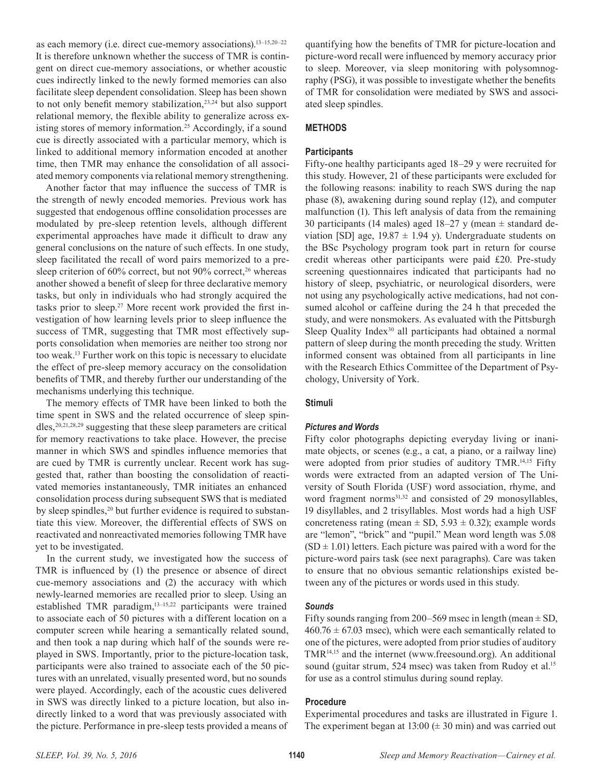as each memory (i.e. direct cue-memory associations).13–15,20–22 It is therefore unknown whether the success of TMR is contingent on direct cue-memory associations, or whether acoustic cues indirectly linked to the newly formed memories can also facilitate sleep dependent consolidation. Sleep has been shown to not only benefit memory stabilization,<sup>23,24</sup> but also support relational memory, the flexible ability to generalize across existing stores of memory information.<sup>25</sup> Accordingly, if a sound cue is directly associated with a particular memory, which is linked to additional memory information encoded at another time, then TMR may enhance the consolidation of all associated memory components via relational memory strengthening.

Another factor that may influence the success of TMR is the strength of newly encoded memories. Previous work has suggested that endogenous offline consolidation processes are modulated by pre-sleep retention levels, although different experimental approaches have made it difficult to draw any general conclusions on the nature of such effects. In one study, sleep facilitated the recall of word pairs memorized to a presleep criterion of  $60\%$  correct, but not  $90\%$  correct,  $26$  whereas another showed a benefit of sleep for three declarative memory tasks, but only in individuals who had strongly acquired the tasks prior to sleep.<sup>27</sup> More recent work provided the first investigation of how learning levels prior to sleep influence the success of TMR, suggesting that TMR most effectively supports consolidation when memories are neither too strong nor too weak.13 Further work on this topic is necessary to elucidate the effect of pre-sleep memory accuracy on the consolidation benefits of TMR, and thereby further our understanding of the mechanisms underlying this technique.

The memory effects of TMR have been linked to both the time spent in SWS and the related occurrence of sleep spindles,20,21,28,29 suggesting that these sleep parameters are critical for memory reactivations to take place. However, the precise manner in which SWS and spindles influence memories that are cued by TMR is currently unclear. Recent work has suggested that, rather than boosting the consolidation of reactivated memories instantaneously, TMR initiates an enhanced consolidation process during subsequent SWS that is mediated by sleep spindles,<sup>20</sup> but further evidence is required to substantiate this view. Moreover, the differential effects of SWS on reactivated and nonreactivated memories following TMR have yet to be investigated.

In the current study, we investigated how the success of TMR is influenced by (1) the presence or absence of direct cue-memory associations and (2) the accuracy with which newly-learned memories are recalled prior to sleep. Using an established TMR paradigm,13–15,22 participants were trained to associate each of 50 pictures with a different location on a computer screen while hearing a semantically related sound, and then took a nap during which half of the sounds were replayed in SWS. Importantly, prior to the picture-location task, participants were also trained to associate each of the 50 pictures with an unrelated, visually presented word, but no sounds were played. Accordingly, each of the acoustic cues delivered in SWS was directly linked to a picture location, but also indirectly linked to a word that was previously associated with the picture. Performance in pre-sleep tests provided a means of

quantifying how the benefits of TMR for picture-location and picture-word recall were influenced by memory accuracy prior to sleep. Moreover, via sleep monitoring with polysomnography (PSG), it was possible to investigate whether the benefits of TMR for consolidation were mediated by SWS and associated sleep spindles.

## **METHODS**

## **Participants**

Fifty-one healthy participants aged 18–29 y were recruited for this study. However, 21 of these participants were excluded for the following reasons: inability to reach SWS during the nap phase (8), awakening during sound replay (12), and computer malfunction (1). This left analysis of data from the remaining 30 participants (14 males) aged 18–27 y (mean  $\pm$  standard deviation [SD] age,  $19.87 \pm 1.94$  y). Undergraduate students on the BSc Psychology program took part in return for course credit whereas other participants were paid £20. Pre-study screening questionnaires indicated that participants had no history of sleep, psychiatric, or neurological disorders, were not using any psychologically active medications, had not consumed alcohol or caffeine during the 24 h that preceded the study, and were nonsmokers. As evaluated with the Pittsburgh Sleep Quality Index<sup>30</sup> all participants had obtained a normal pattern of sleep during the month preceding the study. Written informed consent was obtained from all participants in line with the Research Ethics Committee of the Department of Psychology, University of York.

## **Stimuli**

## *Pictures and Words*

Fifty color photographs depicting everyday living or inanimate objects, or scenes (e.g., a cat, a piano, or a railway line) were adopted from prior studies of auditory TMR.<sup>14,15</sup> Fifty words were extracted from an adapted version of The University of South Florida (USF) word association, rhyme, and word fragment norms<sup>31,32</sup> and consisted of 29 monosyllables, 19 disyllables, and 2 trisyllables. Most words had a high USF concreteness rating (mean  $\pm$  SD, 5.93  $\pm$  0.32); example words are "lemon", "brick" and "pupil." Mean word length was 5.08  $(SD \pm 1.01)$  letters. Each picture was paired with a word for the picture-word pairs task (see next paragraphs). Care was taken to ensure that no obvious semantic relationships existed between any of the pictures or words used in this study.

## *Sounds*

Fifty sounds ranging from 200–569 msec in length (mean  $\pm$  SD,  $460.76 \pm 67.03$  msec), which were each semantically related to one of the pictures, were adopted from prior studies of auditory TMR14,15 and the internet (www.freesound.org). An additional sound (guitar strum, 524 msec) was taken from Rudoy et al.<sup>15</sup> for use as a control stimulus during sound replay.

## **Procedure**

Experimental procedures and tasks are illustrated in Figure 1. The experiment began at 13:00  $(\pm 30 \text{ min})$  and was carried out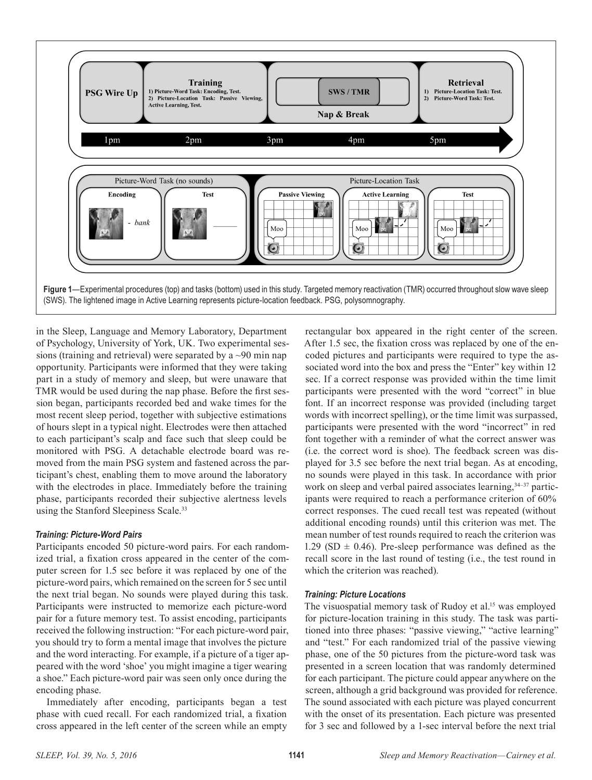

in the Sleep, Language and Memory Laboratory, Department of Psychology, University of York, UK. Two experimental sessions (training and retrieval) were separated by a  $\sim$ 90 min nap opportunity. Participants were informed that they were taking part in a study of memory and sleep, but were unaware that TMR would be used during the nap phase. Before the first session began, participants recorded bed and wake times for the most recent sleep period, together with subjective estimations of hours slept in a typical night. Electrodes were then attached to each participant's scalp and face such that sleep could be monitored with PSG. A detachable electrode board was removed from the main PSG system and fastened across the participant's chest, enabling them to move around the laboratory with the electrodes in place. Immediately before the training phase, participants recorded their subjective alertness levels using the Stanford Sleepiness Scale.<sup>33</sup>

## *Training: Picture-Word Pairs*

Participants encoded 50 picture-word pairs. For each randomized trial, a fixation cross appeared in the center of the computer screen for 1.5 sec before it was replaced by one of the picture-word pairs, which remained on the screen for 5 sec until the next trial began. No sounds were played during this task. Participants were instructed to memorize each picture-word pair for a future memory test. To assist encoding, participants received the following instruction: "For each picture-word pair, you should try to form a mental image that involves the picture and the word interacting. For example, if a picture of a tiger appeared with the word 'shoe' you might imagine a tiger wearing a shoe." Each picture-word pair was seen only once during the encoding phase.

Immediately after encoding, participants began a test phase with cued recall. For each randomized trial, a fixation cross appeared in the left center of the screen while an empty

rectangular box appeared in the right center of the screen. After 1.5 sec, the fixation cross was replaced by one of the encoded pictures and participants were required to type the associated word into the box and press the "Enter" key within 12 sec. If a correct response was provided within the time limit participants were presented with the word "correct" in blue font. If an incorrect response was provided (including target words with incorrect spelling), or the time limit was surpassed, participants were presented with the word "incorrect" in red font together with a reminder of what the correct answer was (i.e. the correct word is shoe). The feedback screen was displayed for 3.5 sec before the next trial began. As at encoding, no sounds were played in this task. In accordance with prior work on sleep and verbal paired associates learning,<sup>34-37</sup> participants were required to reach a performance criterion of 60% correct responses. The cued recall test was repeated (without additional encoding rounds) until this criterion was met. The mean number of test rounds required to reach the criterion was 1.29 (SD  $\pm$  0.46). Pre-sleep performance was defined as the recall score in the last round of testing (i.e., the test round in which the criterion was reached).

### *Training: Picture Locations*

The visuospatial memory task of Rudoy et al.<sup>15</sup> was employed for picture-location training in this study. The task was partitioned into three phases: "passive viewing," "active learning" and "test." For each randomized trial of the passive viewing phase, one of the 50 pictures from the picture-word task was presented in a screen location that was randomly determined for each participant. The picture could appear anywhere on the screen, although a grid background was provided for reference. The sound associated with each picture was played concurrent with the onset of its presentation. Each picture was presented for 3 sec and followed by a 1-sec interval before the next trial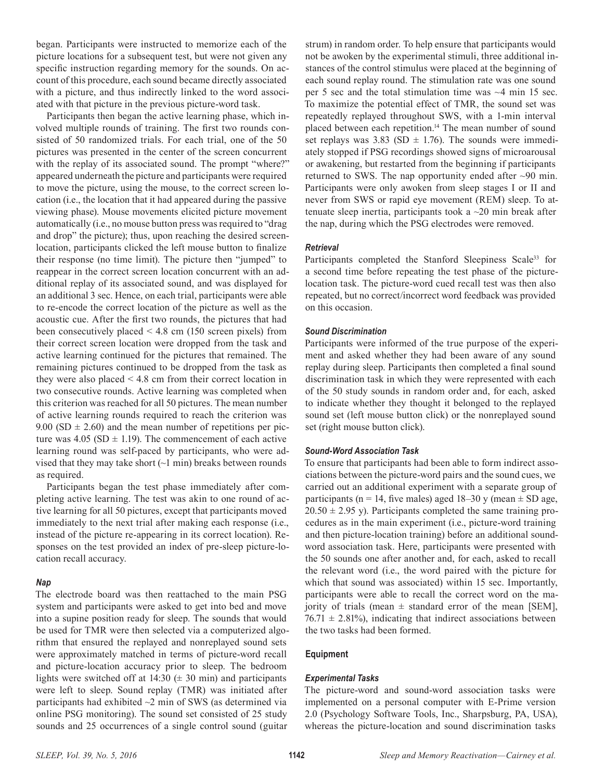began. Participants were instructed to memorize each of the picture locations for a subsequent test, but were not given any specific instruction regarding memory for the sounds. On account of this procedure, each sound became directly associated with a picture, and thus indirectly linked to the word associated with that picture in the previous picture-word task.

Participants then began the active learning phase, which involved multiple rounds of training. The first two rounds consisted of 50 randomized trials. For each trial, one of the 50 pictures was presented in the center of the screen concurrent with the replay of its associated sound. The prompt "where?" appeared underneath the picture and participants were required to move the picture, using the mouse, to the correct screen location (i.e., the location that it had appeared during the passive viewing phase). Mouse movements elicited picture movement automatically (i.e., no mouse button press was required to "drag and drop" the picture); thus, upon reaching the desired screenlocation, participants clicked the left mouse button to finalize their response (no time limit). The picture then "jumped" to reappear in the correct screen location concurrent with an additional replay of its associated sound, and was displayed for an additional 3 sec. Hence, on each trial, participants were able to re-encode the correct location of the picture as well as the acoustic cue. After the first two rounds, the pictures that had been consecutively placed < 4.8 cm (150 screen pixels) from their correct screen location were dropped from the task and active learning continued for the pictures that remained. The remaining pictures continued to be dropped from the task as they were also placed < 4.8 cm from their correct location in two consecutive rounds. Active learning was completed when this criterion was reached for all 50 pictures. The mean number of active learning rounds required to reach the criterion was 9.00 (SD  $\pm$  2.60) and the mean number of repetitions per picture was  $4.05$  (SD  $\pm$  1.19). The commencement of each active learning round was self-paced by participants, who were advised that they may take short  $(\sim 1 \text{ min})$  breaks between rounds as required.

Participants began the test phase immediately after completing active learning. The test was akin to one round of active learning for all 50 pictures, except that participants moved immediately to the next trial after making each response (i.e., instead of the picture re-appearing in its correct location). Responses on the test provided an index of pre-sleep picture-location recall accuracy.

### *Nap*

The electrode board was then reattached to the main PSG system and participants were asked to get into bed and move into a supine position ready for sleep. The sounds that would be used for TMR were then selected via a computerized algorithm that ensured the replayed and nonreplayed sound sets were approximately matched in terms of picture-word recall and picture-location accuracy prior to sleep. The bedroom lights were switched off at  $14:30 \ (\pm 30 \text{ min})$  and participants were left to sleep. Sound replay (TMR) was initiated after participants had exhibited  $\sim$ 2 min of SWS (as determined via online PSG monitoring). The sound set consisted of 25 study sounds and 25 occurrences of a single control sound (guitar

strum) in random order. To help ensure that participants would not be awoken by the experimental stimuli, three additional instances of the control stimulus were placed at the beginning of each sound replay round. The stimulation rate was one sound per 5 sec and the total stimulation time was ~4 min 15 sec. To maximize the potential effect of TMR, the sound set was repeatedly replayed throughout SWS, with a 1-min interval placed between each repetition.14 The mean number of sound set replays was 3.83 (SD  $\pm$  1.76). The sounds were immediately stopped if PSG recordings showed signs of microarousal or awakening, but restarted from the beginning if participants returned to SWS. The nap opportunity ended after ~90 min. Participants were only awoken from sleep stages I or II and never from SWS or rapid eye movement (REM) sleep. To attenuate sleep inertia, participants took a  $\sim$ 20 min break after the nap, during which the PSG electrodes were removed.

### *Retrieval*

Participants completed the Stanford Sleepiness Scale<sup>33</sup> for a second time before repeating the test phase of the picturelocation task. The picture-word cued recall test was then also repeated, but no correct/incorrect word feedback was provided on this occasion.

## *Sound Discrimination*

Participants were informed of the true purpose of the experiment and asked whether they had been aware of any sound replay during sleep. Participants then completed a final sound discrimination task in which they were represented with each of the 50 study sounds in random order and, for each, asked to indicate whether they thought it belonged to the replayed sound set (left mouse button click) or the nonreplayed sound set (right mouse button click).

### *Sound-Word Association Task*

To ensure that participants had been able to form indirect associations between the picture-word pairs and the sound cues, we carried out an additional experiment with a separate group of participants ( $n = 14$ , five males) aged 18–30 y (mean  $\pm$  SD age,  $20.50 \pm 2.95$  y). Participants completed the same training procedures as in the main experiment (i.e., picture-word training and then picture-location training) before an additional soundword association task. Here, participants were presented with the 50 sounds one after another and, for each, asked to recall the relevant word (i.e., the word paired with the picture for which that sound was associated) within 15 sec. Importantly, participants were able to recall the correct word on the majority of trials (mean  $\pm$  standard error of the mean [SEM],  $76.71 \pm 2.81\%$ ), indicating that indirect associations between the two tasks had been formed.

### **Equipment**

#### *Experimental Tasks*

The picture-word and sound-word association tasks were implemented on a personal computer with E-Prime version 2.0 (Psychology Software Tools, Inc., Sharpsburg, PA, USA), whereas the picture-location and sound discrimination tasks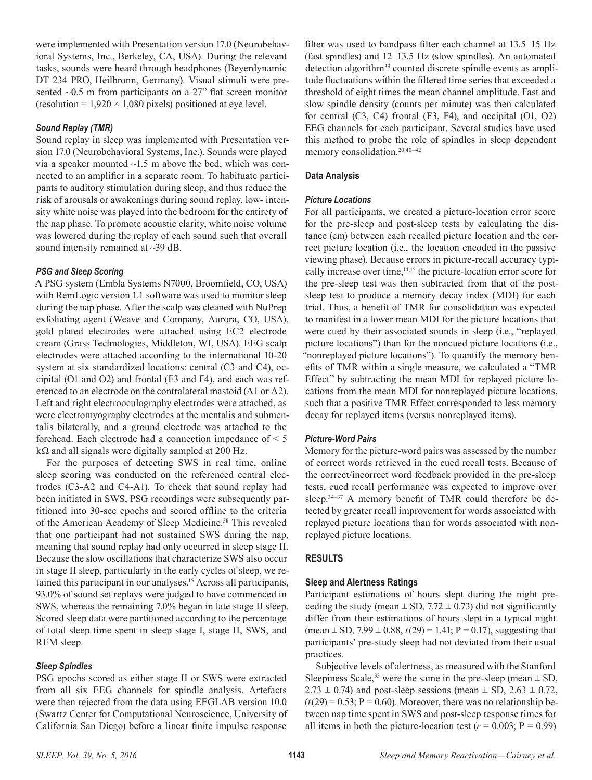were implemented with Presentation version 17.0 (Neurobehavioral Systems, Inc., Berkeley, CA, USA). During the relevant tasks, sounds were heard through headphones (Beyerdynamic DT 234 PRO, Heilbronn, Germany). Visual stimuli were presented  $\sim$ 0.5 m from participants on a 27" flat screen monitor (resolution =  $1,920 \times 1,080$  pixels) positioned at eye level.

## *Sound Replay (TMR)*

Sound replay in sleep was implemented with Presentation version 17.0 (Neurobehavioral Systems, Inc.). Sounds were played via a speaker mounted  $\sim$ 1.5 m above the bed, which was connected to an amplifier in a separate room. To habituate participants to auditory stimulation during sleep, and thus reduce the risk of arousals or awakenings during sound replay, low- intensity white noise was played into the bedroom for the entirety of the nap phase. To promote acoustic clarity, white noise volume was lowered during the replay of each sound such that overall sound intensity remained at ~39 dB.

## *PSG and Sleep Scoring*

A PSG system (Embla Systems N7000, Broomfield, CO, USA) with RemLogic version 1.1 software was used to monitor sleep during the nap phase. After the scalp was cleaned with NuPrep exfoliating agent (Weave and Company, Aurora, CO, USA), gold plated electrodes were attached using EC2 electrode cream (Grass Technologies, Middleton, WI, USA). EEG scalp electrodes were attached according to the international 10-20 system at six standardized locations: central (C3 and C4), occipital (O1 and O2) and frontal (F3 and F4), and each was referenced to an electrode on the contralateral mastoid (A1 or A2). Left and right electrooculography electrodes were attached, as were electromyography electrodes at the mentalis and submentalis bilaterally, and a ground electrode was attached to the forehead. Each electrode had a connection impedance of < 5  $k\Omega$  and all signals were digitally sampled at 200 Hz.

For the purposes of detecting SWS in real time, online sleep scoring was conducted on the referenced central electrodes (C3-A2 and C4-A1). To check that sound replay had been initiated in SWS, PSG recordings were subsequently partitioned into 30-sec epochs and scored offline to the criteria of the American Academy of Sleep Medicine.38 This revealed that one participant had not sustained SWS during the nap, meaning that sound replay had only occurred in sleep stage II. Because the slow oscillations that characterize SWS also occur in stage II sleep, particularly in the early cycles of sleep, we retained this participant in our analyses.15 Across all participants, 93.0% of sound set replays were judged to have commenced in SWS, whereas the remaining 7.0% began in late stage II sleep. Scored sleep data were partitioned according to the percentage of total sleep time spent in sleep stage I, stage II, SWS, and REM sleep.

## *Sleep Spindles*

PSG epochs scored as either stage II or SWS were extracted from all six EEG channels for spindle analysis. Artefacts were then rejected from the data using EEGLAB version 10.0 (Swartz Center for Computational Neuroscience, University of California San Diego) before a linear finite impulse response

filter was used to bandpass filter each channel at 13.5–15 Hz (fast spindles) and 12–13.5 Hz (slow spindles). An automated detection algorithm<sup>39</sup> counted discrete spindle events as amplitude fluctuations within the filtered time series that exceeded a threshold of eight times the mean channel amplitude. Fast and slow spindle density (counts per minute) was then calculated for central (C3, C4) frontal (F3, F4), and occipital (O1, O2) EEG channels for each participant. Several studies have used this method to probe the role of spindles in sleep dependent memory consolidation.<sup>20,40-42</sup>

# **Data Analysis**

## *Picture Locations*

For all participants, we created a picture-location error score for the pre-sleep and post-sleep tests by calculating the distance (cm) between each recalled picture location and the correct picture location (i.e., the location encoded in the passive viewing phase). Because errors in picture-recall accuracy typically increase over time,<sup>14,15</sup> the picture-location error score for the pre-sleep test was then subtracted from that of the postsleep test to produce a memory decay index (MDI) for each trial. Thus, a benefit of TMR for consolidation was expected to manifest in a lower mean MDI for the picture locations that were cued by their associated sounds in sleep (i.e., "replayed picture locations") than for the noncued picture locations (i.e., "nonreplayed picture locations"). To quantify the memory benefits of TMR within a single measure, we calculated a "TMR Effect" by subtracting the mean MDI for replayed picture locations from the mean MDI for nonreplayed picture locations, such that a positive TMR Effect corresponded to less memory decay for replayed items (versus nonreplayed items).

## *Picture-Word Pairs*

Memory for the picture-word pairs was assessed by the number of correct words retrieved in the cued recall tests. Because of the correct/incorrect word feedback provided in the pre-sleep tests, cued recall performance was expected to improve over sleep.<sup>34-37</sup> A memory benefit of TMR could therefore be detected by greater recall improvement for words associated with replayed picture locations than for words associated with nonreplayed picture locations.

# **RESULTS**

## **Sleep and Alertness Ratings**

Participant estimations of hours slept during the night preceding the study (mean  $\pm$  SD, 7.72  $\pm$  0.73) did not significantly differ from their estimations of hours slept in a typical night (mean  $\pm$  SD, 7.99  $\pm$  0.88,  $t(29) = 1.41$ ; P = 0.17), suggesting that participants' pre-study sleep had not deviated from their usual practices.

Subjective levels of alertness, as measured with the Stanford Sleepiness Scale,<sup>33</sup> were the same in the pre-sleep (mean  $\pm$  SD,  $2.73 \pm 0.74$ ) and post-sleep sessions (mean  $\pm$  SD,  $2.63 \pm 0.72$ ,  $(t(29) = 0.53; P = 0.60)$ . Moreover, there was no relationship between nap time spent in SWS and post-sleep response times for all items in both the picture-location test  $(r = 0.003; P = 0.99)$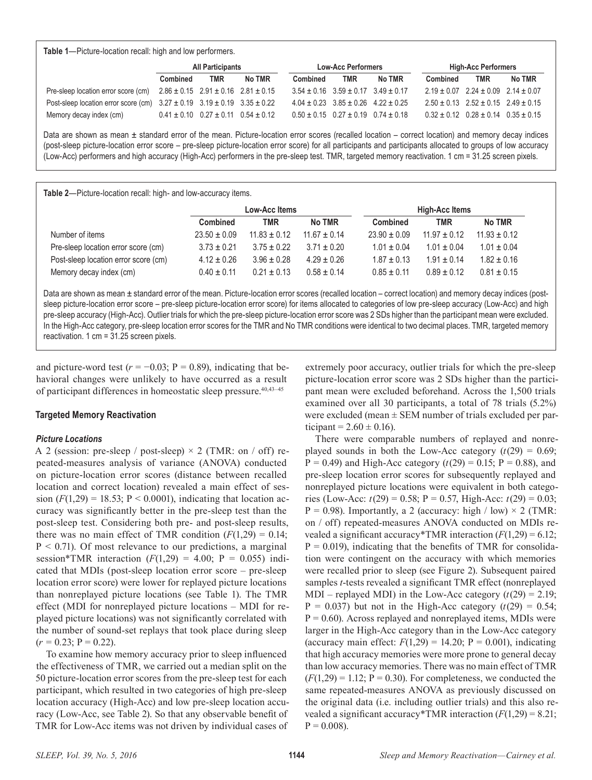**Table 1**—Picture-location recall: high and low performers.

|                                                                                      | <b>All Participants</b> |            |                                                 |                                                 | <b>Low-Acc Performers</b>                       |        | <b>High-Acc Performers</b> |                                                 |               |
|--------------------------------------------------------------------------------------|-------------------------|------------|-------------------------------------------------|-------------------------------------------------|-------------------------------------------------|--------|----------------------------|-------------------------------------------------|---------------|
|                                                                                      | <b>Combined</b>         | <b>TMR</b> | No TMR                                          | Combined                                        | TMR                                             | No TMR | Combined                   | <b>TMR</b>                                      | <b>No TMR</b> |
| Pre-sleep location error score (cm) $2.86 \pm 0.15$ $2.91 \pm 0.16$ $2.81 \pm 0.15$  |                         |            |                                                 | $3.54 \pm 0.16$ $3.59 \pm 0.17$ $3.49 \pm 0.17$ |                                                 |        |                            | $2.19 \pm 0.07$ $2.24 \pm 0.09$ $2.14 \pm 0.07$ |               |
| Post-sleep location error score (cm) $3.27 \pm 0.19$ $3.19 \pm 0.19$ $3.35 \pm 0.22$ |                         |            |                                                 |                                                 | $4.04 \pm 0.23$ $3.85 \pm 0.26$ $4.22 \pm 0.25$ |        |                            | $2.50 \pm 0.13$ $2.52 \pm 0.15$ $2.49 \pm 0.15$ |               |
| Memory decay index (cm)                                                              |                         |            | $0.41 \pm 0.10$ $0.27 \pm 0.11$ $0.54 \pm 0.12$ | $0.50 \pm 0.15$ $0.27 \pm 0.19$ $0.74 \pm 0.18$ |                                                 |        |                            | $0.32 \pm 0.12$ $0.28 \pm 0.14$ $0.35 \pm 0.15$ |               |

Data are shown as mean ± standard error of the mean. Picture-location error scores (recalled location – correct location) and memory decay indices (post-sleep picture-location error score – pre-sleep picture-location error score) for all participants and participants allocated to groups of low accuracy (Low-Acc) performers and high accuracy (High-Acc) performers in the pre-sleep test. TMR, targeted memory reactivation. 1 cm = 31.25 screen pixels.

|                                      |                  | Low-Acc Items    |                 |                  | High-Acc Items   |                  |
|--------------------------------------|------------------|------------------|-----------------|------------------|------------------|------------------|
|                                      | <b>Combined</b>  | <b>TMR</b>       | No TMR          | <b>Combined</b>  | TMR              | No TMR           |
| Number of items                      | $23.50 \pm 0.09$ | $11.83 \pm 0.12$ | $11.67 + 0.14$  | $23.90 \pm 0.09$ | $11.97 \pm 0.12$ | $11.93 \pm 0.12$ |
| Pre-sleep location error score (cm)  | $3.73 \pm 0.21$  | $3.75 \pm 0.22$  | $3.71 + 0.20$   | $1.01 \pm 0.04$  | $1.01 \pm 0.04$  | $1.01 \pm 0.04$  |
| Post-sleep location error score (cm) | $4.12 \pm 0.26$  | $3.96 \pm 0.28$  | $4.29 \pm 0.26$ | $1.87 \pm 0.13$  | $1.91 + 0.14$    | $1.82 \pm 0.16$  |
| Memory decay index (cm)              | $0.40 \pm 0.11$  | $0.21 \pm 0.13$  | $0.58 \pm 0.14$ | $0.85 \pm 0.11$  | $0.89 \pm 0.12$  | $0.81 \pm 0.15$  |

Data are shown as mean ± standard error of the mean. Picture-location error scores (recalled location – correct location) and memory decay indices (postsleep picture-location error score – pre-sleep picture-location error score) for items allocated to categories of low pre-sleep accuracy (Low-Acc) and high pre-sleep accuracy (High-Acc). Outlier trials for which the pre-sleep picture-location error score was 2 SDs higher than the participant mean were excluded. In the High-Acc category, pre-sleep location error scores for the TMR and No TMR conditions were identical to two decimal places. TMR, targeted memory reactivation. 1 cm = 31.25 screen pixels.

and picture-word test  $(r = -0.03; P = 0.89)$ , indicating that behavioral changes were unlikely to have occurred as a result of participant differences in homeostatic sleep pressure.40,43–45

### **Targeted Memory Reactivation**

### *Picture Locations*

A 2 (session: pre-sleep / post-sleep)  $\times$  2 (TMR: on / off) repeated-measures analysis of variance (ANOVA) conducted on picture-location error scores (distance between recalled location and correct location) revealed a main effect of session  $(F(1,29) = 18.53; P < 0.0001)$ , indicating that location accuracy was significantly better in the pre-sleep test than the post-sleep test. Considering both pre- and post-sleep results, there was no main effect of TMR condition  $(F(1,29) = 0.14)$ ;  $P < 0.71$ ). Of most relevance to our predictions, a marginal session\*TMR interaction  $(F(1,29) = 4.00; P = 0.055)$  indicated that MDIs (post-sleep location error score – pre-sleep location error score) were lower for replayed picture locations than nonreplayed picture locations (see Table 1). The TMR effect (MDI for nonreplayed picture locations – MDI for replayed picture locations) was not significantly correlated with the number of sound-set replays that took place during sleep  $(r = 0.23; P = 0.22)$ .

To examine how memory accuracy prior to sleep influenced the effectiveness of TMR, we carried out a median split on the 50 picture-location error scores from the pre-sleep test for each participant, which resulted in two categories of high pre-sleep location accuracy (High-Acc) and low pre-sleep location accuracy (Low-Acc, see Table 2). So that any observable benefit of TMR for Low-Acc items was not driven by individual cases of

extremely poor accuracy, outlier trials for which the pre-sleep picture-location error score was 2 SDs higher than the participant mean were excluded beforehand. Across the 1,500 trials examined over all 30 participants, a total of 78 trials (5.2%) were excluded (mean  $\pm$  SEM number of trials excluded per participant =  $2.60 \pm 0.16$ ).

There were comparable numbers of replayed and nonreplayed sounds in both the Low-Acc category  $(t(29) = 0.69)$ ;  $P = 0.49$ ) and High-Acc category ( $t(29) = 0.15$ ;  $P = 0.88$ ), and pre-sleep location error scores for subsequently replayed and nonreplayed picture locations were equivalent in both categories (Low-Acc:  $t(29) = 0.58$ ; P = 0.57, High-Acc:  $t(29) = 0.03$ ;  $P = 0.98$ ). Importantly, a 2 (accuracy: high / low)  $\times$  2 (TMR: on / off) repeated-measures ANOVA conducted on MDIs revealed a significant accuracy\*TMR interaction  $(F(1,29) = 6.12;$  $P = 0.019$ ), indicating that the benefits of TMR for consolidation were contingent on the accuracy with which memories were recalled prior to sleep (see Figure 2). Subsequent paired samples *t*-tests revealed a significant TMR effect (nonreplayed MDI – replayed MDI) in the Low-Acc category  $(t(29) = 2.19)$ ;  $P = 0.037$ ) but not in the High-Acc category  $(t(29) = 0.54;$  $P = 0.60$ ). Across replayed and nonreplayed items, MDIs were larger in the High-Acc category than in the Low-Acc category (accuracy main effect:  $F(1,29) = 14.20$ ;  $P = 0.001$ ), indicating that high accuracy memories were more prone to general decay than low accuracy memories. There was no main effect of TMR  $(F(1,29) = 1.12; P = 0.30)$ . For completeness, we conducted the same repeated-measures ANOVA as previously discussed on the original data (i.e. including outlier trials) and this also revealed a significant accuracy\*TMR interaction  $(F(1,29) = 8.21)$ ;  $P = 0.008$ ).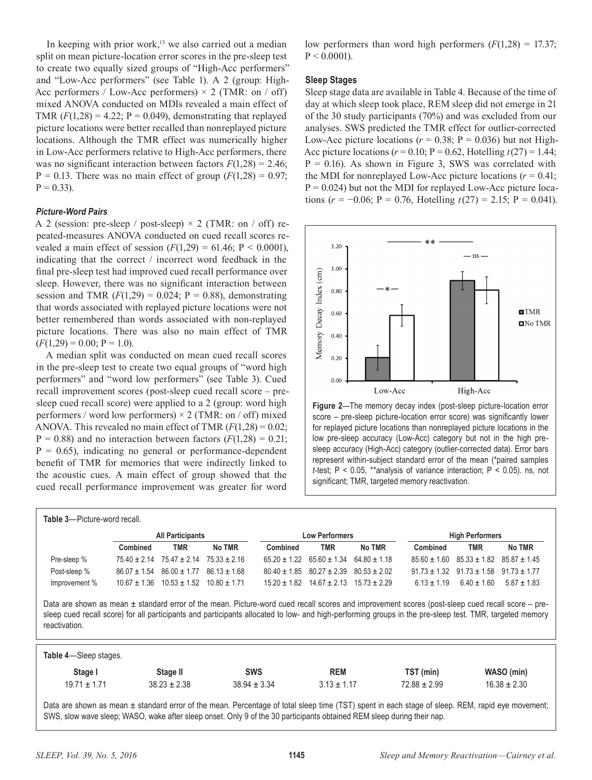In keeping with prior work, $13$  we also carried out a median split on mean picture-location error scores in the pre-sleep test to create two equally sized groups of "High-Acc performers" and "Low-Acc performers" (see Table 1). A 2 (group: High-Acc performers / Low-Acc performers)  $\times$  2 (TMR: on / off) mixed ANOVA conducted on MDIs revealed a main effect of TMR  $(F(1,28) = 4.22; P = 0.049)$ , demonstrating that replayed picture locations were better recalled than nonreplayed picture locations. Although the TMR effect was numerically higher in Low-Acc performers relative to High-Acc performers, there was no significant interaction between factors  $F(1,28) = 2.46$ ;  $P = 0.13$ . There was no main effect of group  $(F(1,28) = 0.97)$ ;  $P = 0.33$ ).

### *Picture-Word Pairs*

A 2 (session: pre-sleep / post-sleep)  $\times$  2 (TMR: on / off) repeated-measures ANOVA conducted on cued recall scores revealed a main effect of session  $(F(1,29) = 61.46; P < 0.0001)$ , indicating that the correct / incorrect word feedback in the final pre-sleep test had improved cued recall performance over sleep. However, there was no significant interaction between session and TMR  $(F(1,29) = 0.024; P = 0.88)$ , demonstrating that words associated with replayed picture locations were not better remembered than words associated with non-replayed picture locations. There was also no main effect of TMR  $(F(1,29) = 0.00; P = 1.0).$ 

A median split was conducted on mean cued recall scores in the pre-sleep test to create two equal groups of "word high performers" and "word low performers" (see Table 3). Cued recall improvement scores (post-sleep cued recall score – presleep cued recall score) were applied to a 2 (group: word high performers / word low performers)  $\times$  2 (TMR: on / off) mixed ANOVA. This revealed no main effect of TMR  $(F(1,28) = 0.02)$ ;  $P = 0.88$ ) and no interaction between factors  $(F(1,28) = 0.21)$ ;  $P = 0.65$ ), indicating no general or performance-dependent benefit of TMR for memories that were indirectly linked to the acoustic cues. A main effect of group showed that the cued recall performance improvement was greater for word

**Table 3**—Picture-word recall.

|                 |  | low performers than word high performers $(F(1,28) = 17.37)$ ; |  |
|-----------------|--|----------------------------------------------------------------|--|
| $P < 0.0001$ ). |  |                                                                |  |

# **Sleep Stages**

Sleep stage data are available in Table 4. Because of the time of day at which sleep took place, REM sleep did not emerge in 21 of the 30 study participants (70%) and was excluded from our analyses. SWS predicted the TMR effect for outlier-corrected Low-Acc picture locations ( $r = 0.38$ ; P = 0.036) but not High-Acc picture locations ( $r = 0.10$ ; P = 0.62, Hotelling  $t(27) = 1.44$ ;  $P = 0.16$ ). As shown in Figure 3, SWS was correlated with the MDI for nonreplayed Low-Acc picture locations  $(r = 0.41)$ ;  $P = 0.024$ ) but not the MDI for replayed Low-Acc picture locations ( $r = -0.06$ ; P = 0.76, Hotelling  $t(27) = 2.15$ ; P = 0.041).



**Figure 2**—The memory decay index (post-sleep picture-location error score – pre-sleep picture-location error score) was significantly lower for replayed picture locations than nonreplayed picture locations in the low pre-sleep accuracy (Low-Acc) category but not in the high presleep accuracy (High-Acc) category (outlier-corrected data). Error bars represent within-subject standard error of the mean (\*paired samples *t*-test; P < 0.05, \*\*analysis of variance interaction; P < 0.05). ns, not significant; TMR, targeted memory reactivation.

|               | <b>All Participants</b> |                                                    |        | <b>Low Performers</b> |                                                    |                                                    | <b>High Performers</b> |                                                    |                 |
|---------------|-------------------------|----------------------------------------------------|--------|-----------------------|----------------------------------------------------|----------------------------------------------------|------------------------|----------------------------------------------------|-----------------|
|               | Combined                | TMR                                                | No TMR | Combined              | <b>TMR</b>                                         | <b>No TMR</b>                                      | Combined               | <b>TMR</b>                                         | No TMR          |
| Pre-sleep %   |                         | $75.40 \pm 2.14$ $75.47 \pm 2.14$ $75.33 \pm 2.16$ |        |                       | $65.20 \pm 1.22$ $65.60 \pm 1.34$ $64.80 \pm 1.18$ |                                                    |                        | $85.60 \pm 1.60$ $85.33 \pm 1.82$ $85.87 \pm 1.45$ |                 |
| Post-sleep %  |                         | $86.07 \pm 1.54$ $86.00 \pm 1.77$ $86.13 \pm 1.68$ |        |                       |                                                    | $80.40 \pm 1.85$ $80.27 \pm 2.39$ $80.53 \pm 2.02$ |                        | $91.73 \pm 1.32$ $91.73 \pm 1.58$ $91.73 \pm 1.77$ |                 |
| Improvement % |                         | $10.67 \pm 1.36$ $10.53 \pm 1.52$ $10.80 \pm 1.71$ |        |                       | $15.20 \pm 1.82$ $14.67 \pm 2.13$ $15.73 \pm 2.29$ |                                                    |                        | $6.13 \pm 1.19$ $6.40 \pm 1.60$                    | $5.87 \pm 1.83$ |

Data are shown as mean ± standard error of the mean. Picture-word cued recall scores and improvement scores (post-sleep cued recall score – presleep cued recall score) for all participants and participants allocated to low- and high-performing groups in the pre-sleep test. TMR, targeted memory reactivation.

| Table 4-Sleep stages. |                  |                  |                 |                  |                  |
|-----------------------|------------------|------------------|-----------------|------------------|------------------|
| Stage I               | Stage II         | <b>SWS</b>       | <b>REM</b>      | TST (min)        | WASO (min)       |
| $19.71 \pm 1.71$      | $38.23 \pm 2.38$ | $38.94 \pm 3.34$ | $3.13 \pm 1.17$ | $72.88 \pm 2.99$ | $16.38 \pm 2.30$ |

Data are shown as mean ± standard error of the mean. Percentage of total sleep time (TST) spent in each stage of sleep. REM, rapid eye movement; SWS, slow wave sleep; WASO, wake after sleep onset. Only 9 of the 30 participants obtained REM sleep during their nap.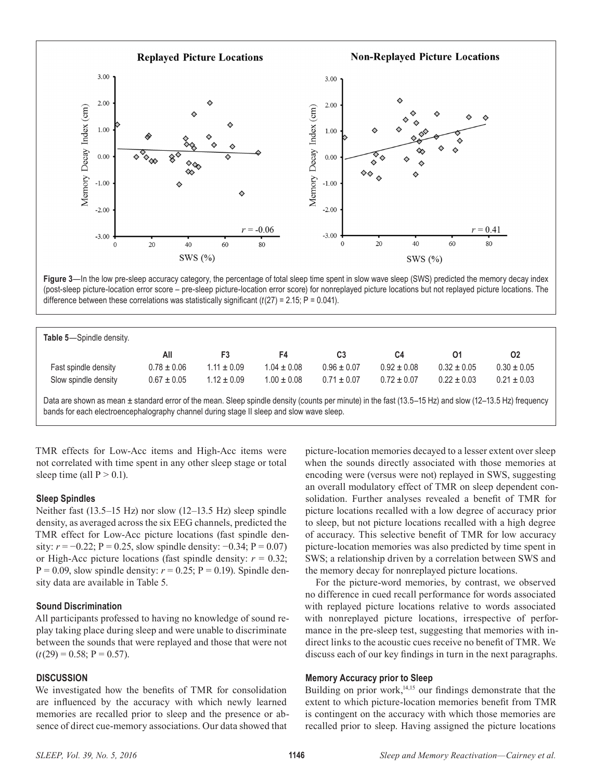

**Figure 3**—In the low pre-sleep accuracy category, the percentage of total sleep time spent in slow wave sleep (SWS) predicted the memory decay index (post-sleep picture-location error score – pre-sleep picture-location error score) for nonreplayed picture locations but not replayed picture locations. The difference between these correlations was statistically significant (*t*(27) = 2.15; P = 0.041).

| Table 5-Spindle density.                                                                                                                                                                                                                            |                 |                 |                 |                 |                 |                 |                 |
|-----------------------------------------------------------------------------------------------------------------------------------------------------------------------------------------------------------------------------------------------------|-----------------|-----------------|-----------------|-----------------|-----------------|-----------------|-----------------|
|                                                                                                                                                                                                                                                     | All             | F3              | F4              | C3              | C4              | 01              | 02              |
| Fast spindle density                                                                                                                                                                                                                                | $0.78 \pm 0.06$ | $1.11 \pm 0.09$ | $1.04 \pm 0.08$ | $0.96 \pm 0.07$ | $0.92 \pm 0.08$ | $0.32 \pm 0.05$ | $0.30 \pm 0.05$ |
| Slow spindle density                                                                                                                                                                                                                                | $0.67 \pm 0.05$ | $1.12 + 0.09$   | $1.00 \pm 0.08$ | $0.71 + 0.07$   | $0.72 + 0.07$   | $0.22 + 0.03$   | $0.21 \pm 0.03$ |
| Data are shown as mean ± standard error of the mean. Sleep spindle density (counts per minute) in the fast (13.5-15 Hz) and slow (12-13.5 Hz) frequency<br>bands for each electroencephalography channel during stage II sleep and slow wave sleep. |                 |                 |                 |                 |                 |                 |                 |

TMR effects for Low-Acc items and High-Acc items were not correlated with time spent in any other sleep stage or total sleep time (all  $P > 0.1$ ).

### **Sleep Spindles**

Neither fast (13.5–15 Hz) nor slow (12–13.5 Hz) sleep spindle density, as averaged across the six EEG channels, predicted the TMR effect for Low-Acc picture locations (fast spindle density:  $r = -0.22$ ; P = 0.25, slow spindle density:  $-0.34$ ; P = 0.07) or High-Acc picture locations (fast spindle density:  $r = 0.32$ ;  $P = 0.09$ , slow spindle density:  $r = 0.25$ ;  $P = 0.19$ ). Spindle density data are available in Table 5.

#### **Sound Discrimination**

All participants professed to having no knowledge of sound replay taking place during sleep and were unable to discriminate between the sounds that were replayed and those that were not  $(t(29) = 0.58; P = 0.57)$ .

#### **DISCUSSION**

We investigated how the benefits of TMR for consolidation are influenced by the accuracy with which newly learned memories are recalled prior to sleep and the presence or absence of direct cue-memory associations. Our data showed that

picture-location memories decayed to a lesser extent over sleep when the sounds directly associated with those memories at encoding were (versus were not) replayed in SWS, suggesting an overall modulatory effect of TMR on sleep dependent consolidation. Further analyses revealed a benefit of TMR for picture locations recalled with a low degree of accuracy prior to sleep, but not picture locations recalled with a high degree of accuracy. This selective benefit of TMR for low accuracy picture-location memories was also predicted by time spent in SWS; a relationship driven by a correlation between SWS and the memory decay for nonreplayed picture locations.

For the picture-word memories, by contrast, we observed no difference in cued recall performance for words associated with replayed picture locations relative to words associated with nonreplayed picture locations, irrespective of performance in the pre-sleep test, suggesting that memories with indirect links to the acoustic cues receive no benefit of TMR. We discuss each of our key findings in turn in the next paragraphs.

#### **Memory Accuracy prior to Sleep**

Building on prior work,<sup>14,15</sup> our findings demonstrate that the extent to which picture-location memories benefit from TMR is contingent on the accuracy with which those memories are recalled prior to sleep. Having assigned the picture locations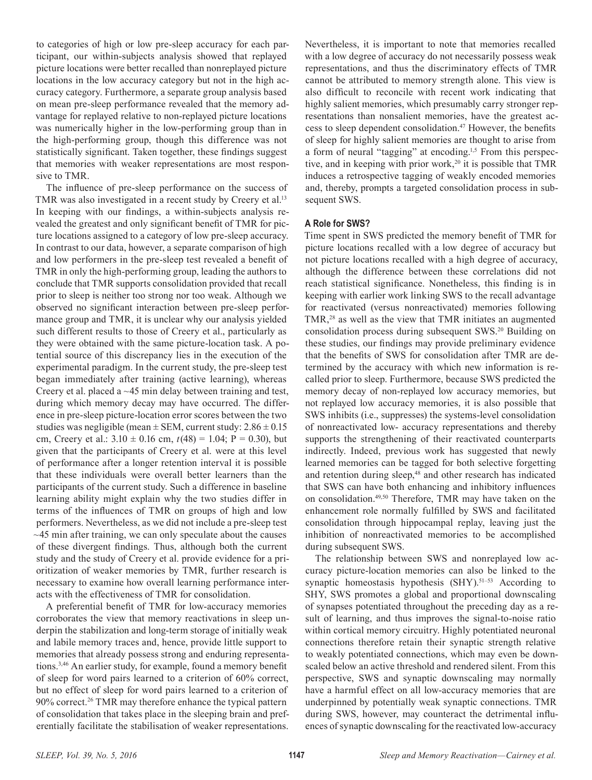to categories of high or low pre-sleep accuracy for each participant, our within-subjects analysis showed that replayed picture locations were better recalled than nonreplayed picture locations in the low accuracy category but not in the high accuracy category. Furthermore, a separate group analysis based on mean pre-sleep performance revealed that the memory advantage for replayed relative to non-replayed picture locations was numerically higher in the low-performing group than in the high-performing group, though this difference was not statistically significant. Taken together, these findings suggest that memories with weaker representations are most responsive to TMR.

The influence of pre-sleep performance on the success of TMR was also investigated in a recent study by Creery et al.<sup>13</sup> In keeping with our findings, a within-subjects analysis revealed the greatest and only significant benefit of TMR for picture locations assigned to a category of low pre-sleep accuracy. In contrast to our data, however, a separate comparison of high and low performers in the pre-sleep test revealed a benefit of TMR in only the high-performing group, leading the authors to conclude that TMR supports consolidation provided that recall prior to sleep is neither too strong nor too weak. Although we observed no significant interaction between pre-sleep performance group and TMR, it is unclear why our analysis yielded such different results to those of Creery et al., particularly as they were obtained with the same picture-location task. A potential source of this discrepancy lies in the execution of the experimental paradigm. In the current study, the pre-sleep test began immediately after training (active learning), whereas Creery et al. placed a  $\sim$  45 min delay between training and test, during which memory decay may have occurred. The difference in pre-sleep picture-location error scores between the two studies was negligible (mean  $\pm$  SEM, current study: 2.86  $\pm$  0.15 cm, Creery et al.:  $3.10 \pm 0.16$  cm,  $t(48) = 1.04$ ; P = 0.30), but given that the participants of Creery et al. were at this level of performance after a longer retention interval it is possible that these individuals were overall better learners than the participants of the current study. Such a difference in baseline learning ability might explain why the two studies differ in terms of the influences of TMR on groups of high and low performers. Nevertheless, as we did not include a pre-sleep test  $~1$ –45 min after training, we can only speculate about the causes of these divergent findings. Thus, although both the current study and the study of Creery et al. provide evidence for a prioritization of weaker memories by TMR, further research is necessary to examine how overall learning performance interacts with the effectiveness of TMR for consolidation.

A preferential benefit of TMR for low-accuracy memories corroborates the view that memory reactivations in sleep underpin the stabilization and long-term storage of initially weak and labile memory traces and, hence, provide little support to memories that already possess strong and enduring representations.3,46 An earlier study, for example, found a memory benefit of sleep for word pairs learned to a criterion of 60% correct, but no effect of sleep for word pairs learned to a criterion of 90% correct.<sup>26</sup> TMR may therefore enhance the typical pattern of consolidation that takes place in the sleeping brain and preferentially facilitate the stabilisation of weaker representations.

Nevertheless, it is important to note that memories recalled with a low degree of accuracy do not necessarily possess weak representations, and thus the discriminatory effects of TMR cannot be attributed to memory strength alone. This view is also difficult to reconcile with recent work indicating that highly salient memories, which presumably carry stronger representations than nonsalient memories, have the greatest access to sleep dependent consolidation.47 However, the benefits of sleep for highly salient memories are thought to arise from a form of neural "tagging" at encoding.<sup>1,5</sup> From this perspective, and in keeping with prior work,<sup>20</sup> it is possible that TMR induces a retrospective tagging of weakly encoded memories and, thereby, prompts a targeted consolidation process in subsequent SWS.

### **A Role for SWS?**

Time spent in SWS predicted the memory benefit of TMR for picture locations recalled with a low degree of accuracy but not picture locations recalled with a high degree of accuracy, although the difference between these correlations did not reach statistical significance. Nonetheless, this finding is in keeping with earlier work linking SWS to the recall advantage for reactivated (versus nonreactivated) memories following TMR,<sup>28</sup> as well as the view that TMR initiates an augmented consolidation process during subsequent SWS.20 Building on these studies, our findings may provide preliminary evidence that the benefits of SWS for consolidation after TMR are determined by the accuracy with which new information is recalled prior to sleep. Furthermore, because SWS predicted the memory decay of non-replayed low accuracy memories, but not replayed low accuracy memories, it is also possible that SWS inhibits (i.e., suppresses) the systems-level consolidation of nonreactivated low- accuracy representations and thereby supports the strengthening of their reactivated counterparts indirectly. Indeed, previous work has suggested that newly learned memories can be tagged for both selective forgetting and retention during sleep,<sup>48</sup> and other research has indicated that SWS can have both enhancing and inhibitory influences on consolidation.49,50 Therefore, TMR may have taken on the enhancement role normally fulfilled by SWS and facilitated consolidation through hippocampal replay, leaving just the inhibition of nonreactivated memories to be accomplished during subsequent SWS.

The relationship between SWS and nonreplayed low accuracy picture-location memories can also be linked to the synaptic homeostasis hypothesis (SHY).<sup>51–53</sup> According to SHY, SWS promotes a global and proportional downscaling of synapses potentiated throughout the preceding day as a result of learning, and thus improves the signal-to-noise ratio within cortical memory circuitry. Highly potentiated neuronal connections therefore retain their synaptic strength relative to weakly potentiated connections, which may even be downscaled below an active threshold and rendered silent. From this perspective, SWS and synaptic downscaling may normally have a harmful effect on all low-accuracy memories that are underpinned by potentially weak synaptic connections. TMR during SWS, however, may counteract the detrimental influences of synaptic downscaling for the reactivated low-accuracy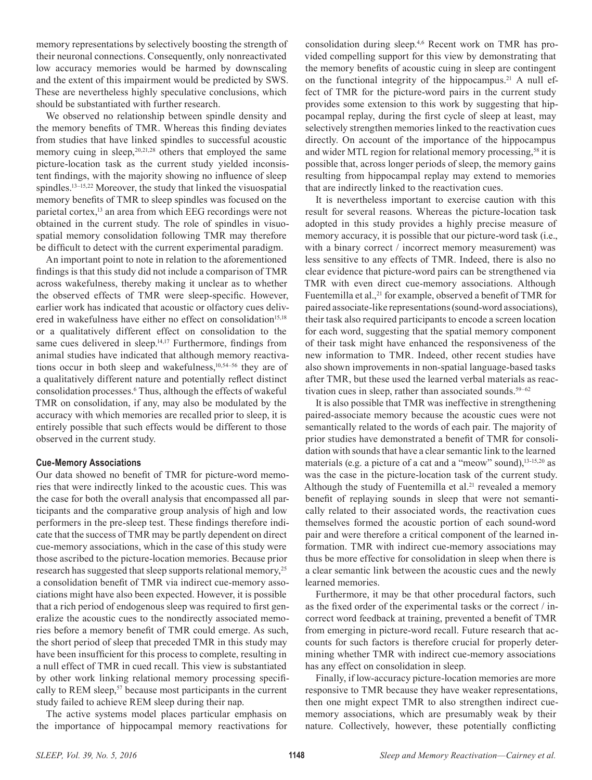memory representations by selectively boosting the strength of their neuronal connections. Consequently, only nonreactivated low accuracy memories would be harmed by downscaling and the extent of this impairment would be predicted by SWS. These are nevertheless highly speculative conclusions, which should be substantiated with further research.

We observed no relationship between spindle density and the memory benefits of TMR. Whereas this finding deviates from studies that have linked spindles to successful acoustic memory cuing in sleep,<sup>20,21,28</sup> others that employed the same picture-location task as the current study yielded inconsistent findings, with the majority showing no influence of sleep spindles.13–15,22 Moreover, the study that linked the visuospatial memory benefits of TMR to sleep spindles was focused on the parietal cortex,<sup>13</sup> an area from which EEG recordings were not obtained in the current study. The role of spindles in visuospatial memory consolidation following TMR may therefore be difficult to detect with the current experimental paradigm.

An important point to note in relation to the aforementioned findings is that this study did not include a comparison of TMR across wakefulness, thereby making it unclear as to whether the observed effects of TMR were sleep-specific. However, earlier work has indicated that acoustic or olfactory cues delivered in wakefulness have either no effect on consolidation<sup>15,18</sup> or a qualitatively different effect on consolidation to the same cues delivered in sleep.<sup>14,17</sup> Furthermore, findings from animal studies have indicated that although memory reactivations occur in both sleep and wakefulness,<sup>10,54-56</sup> they are of a qualitatively different nature and potentially reflect distinct consolidation processes.6 Thus, although the effects of wakeful TMR on consolidation, if any, may also be modulated by the accuracy with which memories are recalled prior to sleep, it is entirely possible that such effects would be different to those observed in the current study.

### **Cue-Memory Associations**

Our data showed no benefit of TMR for picture-word memories that were indirectly linked to the acoustic cues. This was the case for both the overall analysis that encompassed all participants and the comparative group analysis of high and low performers in the pre-sleep test. These findings therefore indicate that the success of TMR may be partly dependent on direct cue-memory associations, which in the case of this study were those ascribed to the picture-location memories. Because prior research has suggested that sleep supports relational memory,<sup>25</sup> a consolidation benefit of TMR via indirect cue-memory associations might have also been expected. However, it is possible that a rich period of endogenous sleep was required to first generalize the acoustic cues to the nondirectly associated memories before a memory benefit of TMR could emerge. As such, the short period of sleep that preceded TMR in this study may have been insufficient for this process to complete, resulting in a null effect of TMR in cued recall. This view is substantiated by other work linking relational memory processing specifically to REM sleep,<sup>57</sup> because most participants in the current study failed to achieve REM sleep during their nap.

The active systems model places particular emphasis on the importance of hippocampal memory reactivations for

consolidation during sleep.4,6 Recent work on TMR has provided compelling support for this view by demonstrating that the memory benefits of acoustic cuing in sleep are contingent on the functional integrity of the hippocampus.<sup>21</sup> A null effect of TMR for the picture-word pairs in the current study provides some extension to this work by suggesting that hippocampal replay, during the first cycle of sleep at least, may selectively strengthen memories linked to the reactivation cues directly. On account of the importance of the hippocampus and wider MTL region for relational memory processing,<sup>58</sup> it is possible that, across longer periods of sleep, the memory gains resulting from hippocampal replay may extend to memories that are indirectly linked to the reactivation cues.

It is nevertheless important to exercise caution with this result for several reasons. Whereas the picture-location task adopted in this study provides a highly precise measure of memory accuracy, it is possible that our picture-word task (i.e., with a binary correct / incorrect memory measurement) was less sensitive to any effects of TMR. Indeed, there is also no clear evidence that picture-word pairs can be strengthened via TMR with even direct cue-memory associations. Although Fuentemilla et al.,<sup>21</sup> for example, observed a benefit of TMR for paired associate-like representations (sound-word associations), their task also required participants to encode a screen location for each word, suggesting that the spatial memory component of their task might have enhanced the responsiveness of the new information to TMR. Indeed, other recent studies have also shown improvements in non-spatial language-based tasks after TMR, but these used the learned verbal materials as reactivation cues in sleep, rather than associated sounds.<sup>59–62</sup>

It is also possible that TMR was ineffective in strengthening paired-associate memory because the acoustic cues were not semantically related to the words of each pair. The majority of prior studies have demonstrated a benefit of TMR for consolidation with sounds that have a clear semantic link to the learned materials (e.g. a picture of a cat and a "meow" sound),  $13-15,20$  as was the case in the picture-location task of the current study. Although the study of Fuentemilla et al.<sup>21</sup> revealed a memory benefit of replaying sounds in sleep that were not semantically related to their associated words, the reactivation cues themselves formed the acoustic portion of each sound-word pair and were therefore a critical component of the learned information. TMR with indirect cue-memory associations may thus be more effective for consolidation in sleep when there is a clear semantic link between the acoustic cues and the newly learned memories.

Furthermore, it may be that other procedural factors, such as the fixed order of the experimental tasks or the correct / incorrect word feedback at training, prevented a benefit of TMR from emerging in picture-word recall. Future research that accounts for such factors is therefore crucial for properly determining whether TMR with indirect cue-memory associations has any effect on consolidation in sleep.

Finally, if low-accuracy picture-location memories are more responsive to TMR because they have weaker representations, then one might expect TMR to also strengthen indirect cuememory associations, which are presumably weak by their nature. Collectively, however, these potentially conflicting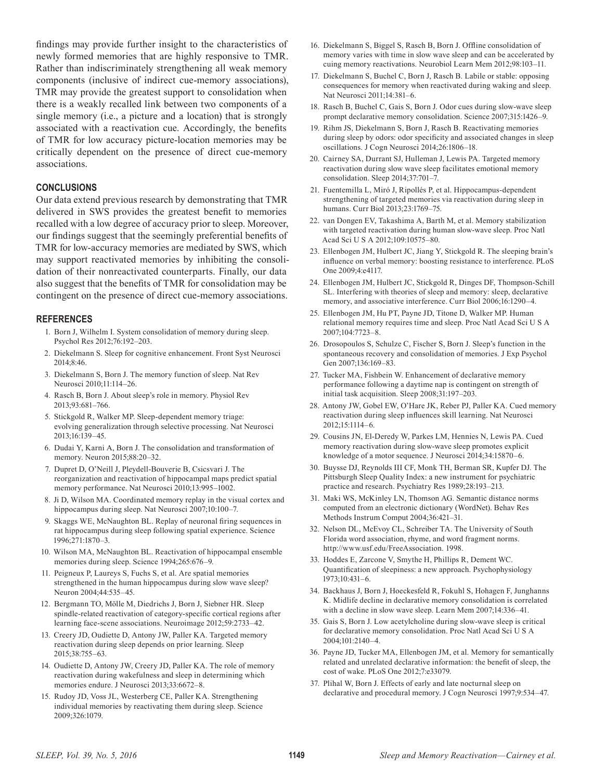findings may provide further insight to the characteristics of newly formed memories that are highly responsive to TMR. Rather than indiscriminately strengthening all weak memory components (inclusive of indirect cue-memory associations), TMR may provide the greatest support to consolidation when there is a weakly recalled link between two components of a single memory (i.e., a picture and a location) that is strongly associated with a reactivation cue. Accordingly, the benefits of TMR for low accuracy picture-location memories may be critically dependent on the presence of direct cue-memory associations.

### **CONCLUSIONS**

Our data extend previous research by demonstrating that TMR delivered in SWS provides the greatest benefit to memories recalled with a low degree of accuracy prior to sleep. Moreover, our findings suggest that the seemingly preferential benefits of TMR for low-accuracy memories are mediated by SWS, which may support reactivated memories by inhibiting the consolidation of their nonreactivated counterparts. Finally, our data also suggest that the benefits of TMR for consolidation may be contingent on the presence of direct cue-memory associations.

### **REFERENCES**

- 1. Born J, Wilhelm I. System consolidation of memory during sleep. Psychol Res 2012;76:192–203.
- 2. Diekelmann S. Sleep for cognitive enhancement. Front Syst Neurosci 2014;8:46.
- 3. Diekelmann S, Born J. The memory function of sleep. Nat Rev Neurosci 2010;11:114–26.
- 4. Rasch B, Born J. About sleep's role in memory. Physiol Rev 2013;93:681–766.
- 5. Stickgold R, Walker MP. Sleep-dependent memory triage: evolving generalization through selective processing. Nat Neurosci 2013;16:139–45.
- 6. Dudai Y, Karni A, Born J. The consolidation and transformation of memory. Neuron 2015;88:20–32.
- 7. Dupret D, O'Neill J, Pleydell-Bouverie B, Csicsvari J. The reorganization and reactivation of hippocampal maps predict spatial memory performance. Nat Neurosci 2010;13:995–1002.
- 8. Ji D, Wilson MA. Coordinated memory replay in the visual cortex and hippocampus during sleep. Nat Neurosci 2007;10:100-7.
- 9. Skaggs WE, McNaughton BL. Replay of neuronal firing sequences in rat hippocampus during sleep following spatial experience. Science 1996;271:1870–3.
- 10. Wilson MA, McNaughton BL. Reactivation of hippocampal ensemble memories during sleep. Science 1994;265:676–9.
- 11. Peigneux P, Laureys S, Fuchs S, et al. Are spatial memories strengthened in the human hippocampus during slow wave sleep? Neuron 2004;44:535–45.
- 12. Bergmann TO, Mölle M, Diedrichs J, Born J, Siebner HR. Sleep spindle-related reactivation of category-specific cortical regions after learning face-scene associations. Neuroimage 2012;59:2733–42.
- 13. Creery JD, Oudiette D, Antony JW, Paller KA. Targeted memory reactivation during sleep depends on prior learning. Sleep 2015;38:755–63.
- 14. Oudiette D, Antony JW, Creery JD, Paller KA. The role of memory reactivation during wakefulness and sleep in determining which memories endure. J Neurosci 2013;33:6672–8.
- 15. Rudoy JD, Voss JL, Westerberg CE, Paller KA. Strengthening individual memories by reactivating them during sleep. Science 2009;326:1079.
- 16. Diekelmann S, Biggel S, Rasch B, Born J. Offline consolidation of memory varies with time in slow wave sleep and can be accelerated by cuing memory reactivations. Neurobiol Learn Mem 2012;98:103–11.
- 17. Diekelmann S, Buchel C, Born J, Rasch B. Labile or stable: opposing consequences for memory when reactivated during waking and sleep. Nat Neurosci 2011;14:381–6.
- 18. Rasch B, Buchel C, Gais S, Born J. Odor cues during slow-wave sleep prompt declarative memory consolidation. Science 2007;315:1426–9.
- 19. Rihm JS, Diekelmann S, Born J, Rasch B. Reactivating memories during sleep by odors: odor specificity and associated changes in sleep oscillations. J Cogn Neurosci 2014;26:1806–18.
- 20. Cairney SA, Durrant SJ, Hulleman J, Lewis PA. Targeted memory reactivation during slow wave sleep facilitates emotional memory consolidation. Sleep 2014;37:701–7.
- 21. Fuentemilla L, Miró J, Ripollés P, et al. Hippocampus-dependent strengthening of targeted memories via reactivation during sleep in humans. Curr Biol 2013;23:1769–75.
- 22. van Dongen EV, Takashima A, Barth M, et al. Memory stabilization with targeted reactivation during human slow-wave sleep. Proc Natl Acad Sci U S A 2012;109:10575–80.
- 23. Ellenbogen JM, Hulbert JC, Jiang Y, Stickgold R. The sleeping brain's influence on verbal memory: boosting resistance to interference. PLoS One 2009;4:e4117.
- 24. Ellenbogen JM, Hulbert JC, Stickgold R, Dinges DF, Thompson-Schill SL. Interfering with theories of sleep and memory: sleep, declarative memory, and associative interference. Curr Biol 2006;16:1290–4.
- 25. Ellenbogen JM, Hu PT, Payne JD, Titone D, Walker MP. Human relational memory requires time and sleep. Proc Natl Acad Sci U S A 2007;104:7723–8.
- 26. Drosopoulos S, Schulze C, Fischer S, Born J. Sleep's function in the spontaneous recovery and consolidation of memories. J Exp Psychol Gen 2007;136:169–83.
- 27. Tucker MA, Fishbein W. Enhancement of declarative memory performance following a daytime nap is contingent on strength of initial task acquisition. Sleep 2008;31:197–203.
- 28. Antony JW, Gobel EW, O'Hare JK, Reber PJ, Paller KA. Cued memory reactivation during sleep influences skill learning. Nat Neurosci 2012;15:1114–6.
- 29. Cousins JN, El-Deredy W, Parkes LM, Hennies N, Lewis PA. Cued memory reactivation during slow-wave sleep promotes explicit knowledge of a motor sequence. J Neurosci 2014;34:15870–6.
- 30. Buysse DJ, Reynolds III CF, Monk TH, Berman SR, Kupfer DJ. The Pittsburgh Sleep Quality Index: a new instrument for psychiatric practice and research. Psychiatry Res 1989;28:193–213.
- 31. Maki WS, McKinley LN, Thomson AG. Semantic distance norms computed from an electronic dictionary (WordNet). Behav Res Methods Instrum Comput 2004;36:421–31.
- 32. Nelson DL, McEvoy CL, Schreiber TA. The University of South Florida word association, rhyme, and word fragment norms. http://www.usf.edu/FreeAssociation. 1998.
- 33. Hoddes E, Zarcone V, Smythe H, Phillips R, Dement WC. Quantification of sleepiness: a new approach. Psychophysiology 1973;10:431–6.
- 34. Backhaus J, Born J, Hoeckesfeld R, Fokuhl S, Hohagen F, Junghanns K. Midlife decline in declarative memory consolidation is correlated with a decline in slow wave sleep. Learn Mem 2007;14:336–41.
- 35. Gais S, Born J. Low acetylcholine during slow-wave sleep is critical for declarative memory consolidation. Proc Natl Acad Sci U S A 2004;101:2140–4.
- 36. Payne JD, Tucker MA, Ellenbogen JM, et al. Memory for semantically related and unrelated declarative information: the benefit of sleep, the cost of wake. PLoS One 2012;7:e33079.
- 37. Plihal W, Born J. Effects of early and late nocturnal sleep on declarative and procedural memory. J Cogn Neurosci 1997;9:534–47.